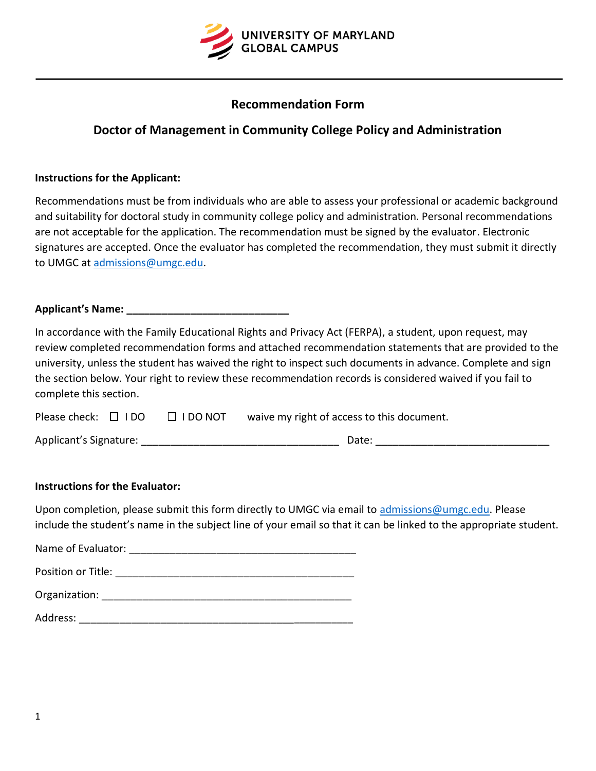

# **Recommendation Form**

# **Doctor of Management in Community College Policy and Administration**

## **Instructions for the Applicant:**

Recommendations must be from individuals who are able to assess your professional or academic background and suitability for doctoral study in community college policy and administration. Personal recommendations are not acceptable for the application. The recommendation must be signed by the evaluator. Electronic signatures are accepted. Once the evaluator has completed the recommendation, they must submit it directly to UMGC at [admissions@umgc.edu.](mailto:admissions@umgc.edu)

## **Applicant's Name: \_\_\_\_\_\_\_\_\_\_\_\_\_\_\_\_\_\_\_\_\_\_\_\_\_\_\_\_**

In accordance with the Family Educational Rights and Privacy Act (FERPA), a student, upon request, may review completed recommendation forms and attached recommendation statements that are provided to the university, unless the student has waived the right to inspect such documents in advance. Complete and sign the section below. Your right to review these recommendation records is considered waived if you fail to complete this section.

| Please check: $\Box$ I DO |  | $\square$ I DO NOT | waive my right of access to this document. |
|---------------------------|--|--------------------|--------------------------------------------|
|---------------------------|--|--------------------|--------------------------------------------|

| Applicant's Signature: | Date: |  |
|------------------------|-------|--|
|                        |       |  |

## **Instructions for the Evaluator:**

Upon completion, please submit this form directly to UMGC via email to [admissions@umgc.edu.](mailto:admissions@umgc.edu) Please include the student's name in the subject line of your email so that it can be linked to the appropriate student.

| Name of Evaluator: |
|--------------------|
|--------------------|

Organization: \_\_\_\_\_\_\_\_\_\_\_\_\_\_\_\_\_\_\_\_\_\_\_\_\_\_\_\_\_\_\_\_\_\_\_\_\_\_\_\_\_\_\_

Address: \_\_\_\_\_\_\_\_\_\_\_\_\_\_\_\_\_\_\_\_\_\_\_\_\_\_\_\_\_\_\_\_\_\_\_\_\_\_\_\_\_\_\_\_\_\_\_\_